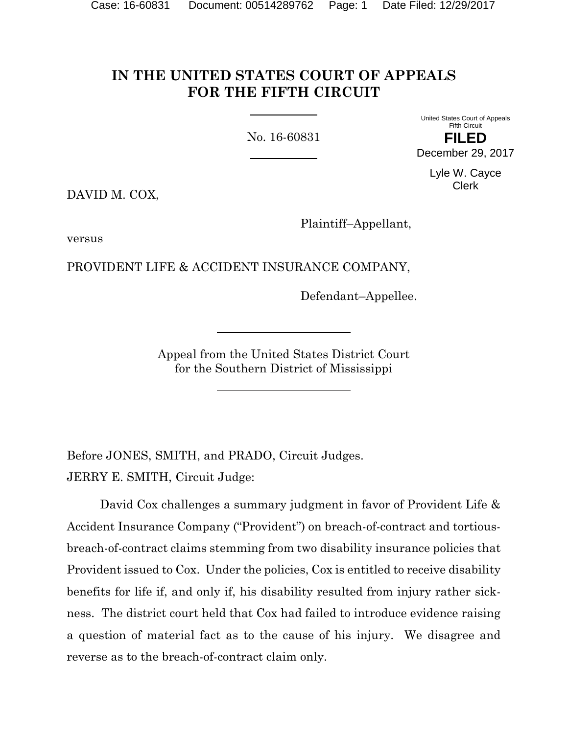# **IN THE UNITED STATES COURT OF APPEALS FOR THE FIFTH CIRCUIT**

No. 16-60831

United States Court of Appeals Fifth Circuit

**FILED** December 29, 2017

> Lyle W. Cayce Clerk

DAVID M. COX,

Plaintiff–Appellant,

versus

PROVIDENT LIFE & ACCIDENT INSURANCE COMPANY,

Defendant–Appellee.

Appeal from the United States District Court for the Southern District of Mississippi

Before JONES, SMITH, and PRADO, Circuit Judges. JERRY E. SMITH, Circuit Judge:

David Cox challenges a summary judgment in favor of Provident Life & Accident Insurance Company ("Provident") on breach-of-contract and tortiousbreach-of-contract claims stemming from two disability insurance policies that Provident issued to Cox. Under the policies, Cox is entitled to receive disability benefits for life if, and only if, his disability resulted from injury rather sickness. The district court held that Cox had failed to introduce evidence raising a question of material fact as to the cause of his injury. We disagree and reverse as to the breach-of-contract claim only.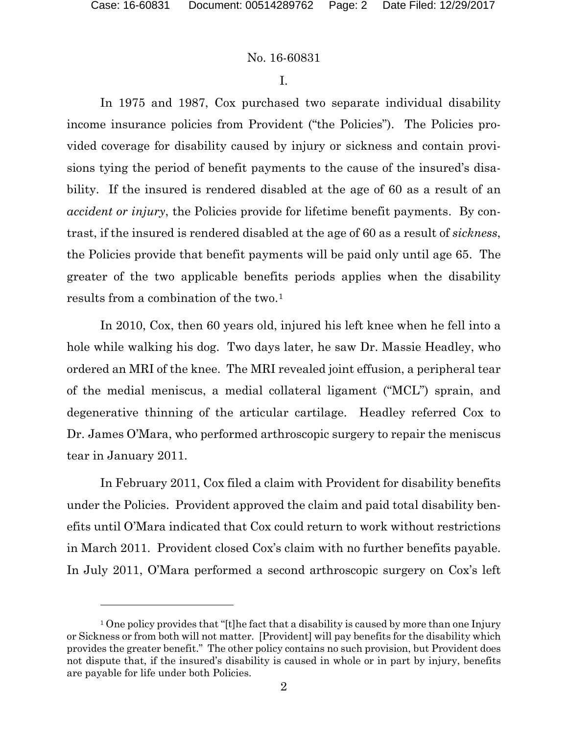l

#### No. 16-60831

I.

In 1975 and 1987, Cox purchased two separate individual disability income insurance policies from Provident ("the Policies"). The Policies provided coverage for disability caused by injury or sickness and contain provisions tying the period of benefit payments to the cause of the insured's disability. If the insured is rendered disabled at the age of 60 as a result of an *accident or injury*, the Policies provide for lifetime benefit payments. By contrast, if the insured is rendered disabled at the age of 60 as a result of *sickness*, the Policies provide that benefit payments will be paid only until age 65. The greater of the two applicable benefits periods applies when the disability results from a combination of the two.<sup>[1](#page-1-0)</sup>

In 2010, Cox, then 60 years old, injured his left knee when he fell into a hole while walking his dog. Two days later, he saw Dr. Massie Headley, who ordered an MRI of the knee. The MRI revealed joint effusion, a peripheral tear of the medial meniscus, a medial collateral ligament ("MCL") sprain, and degenerative thinning of the articular cartilage. Headley referred Cox to Dr. James O'Mara, who performed arthroscopic surgery to repair the meniscus tear in January 2011.

In February 2011, Cox filed a claim with Provident for disability benefits under the Policies. Provident approved the claim and paid total disability benefits until O'Mara indicated that Cox could return to work without restrictions in March 2011. Provident closed Cox's claim with no further benefits payable. In July 2011, O'Mara performed a second arthroscopic surgery on Cox's left

<span id="page-1-0"></span><sup>&</sup>lt;sup>1</sup> One policy provides that "[t]he fact that a disability is caused by more than one Injury or Sickness or from both will not matter. [Provident] will pay benefits for the disability which provides the greater benefit." The other policy contains no such provision, but Provident does not dispute that, if the insured's disability is caused in whole or in part by injury, benefits are payable for life under both Policies.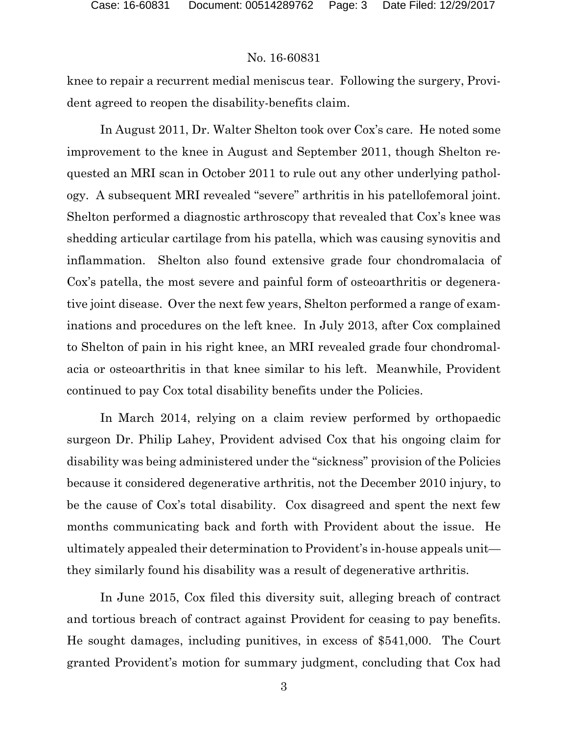## No. 16-60831

knee to repair a recurrent medial meniscus tear. Following the surgery, Provident agreed to reopen the disability-benefits claim.

In August 2011, Dr. Walter Shelton took over Cox's care. He noted some improvement to the knee in August and September 2011, though Shelton requested an MRI scan in October 2011 to rule out any other underlying pathology. A subsequent MRI revealed "severe" arthritis in his patellofemoral joint. Shelton performed a diagnostic arthroscopy that revealed that Cox's knee was shedding articular cartilage from his patella, which was causing synovitis and inflammation. Shelton also found extensive grade four chondromalacia of Cox's patella, the most severe and painful form of osteoarthritis or degenerative joint disease. Over the next few years, Shelton performed a range of examinations and procedures on the left knee. In July 2013, after Cox complained to Shelton of pain in his right knee, an MRI revealed grade four chondromalacia or osteoarthritis in that knee similar to his left. Meanwhile, Provident continued to pay Cox total disability benefits under the Policies.

In March 2014, relying on a claim review performed by orthopaedic surgeon Dr. Philip Lahey, Provident advised Cox that his ongoing claim for disability was being administered under the "sickness" provision of the Policies because it considered degenerative arthritis, not the December 2010 injury, to be the cause of Cox's total disability. Cox disagreed and spent the next few months communicating back and forth with Provident about the issue. He ultimately appealed their determination to Provident's in-house appeals unit they similarly found his disability was a result of degenerative arthritis.

In June 2015, Cox filed this diversity suit, alleging breach of contract and tortious breach of contract against Provident for ceasing to pay benefits. He sought damages, including punitives, in excess of \$541,000. The Court granted Provident's motion for summary judgment, concluding that Cox had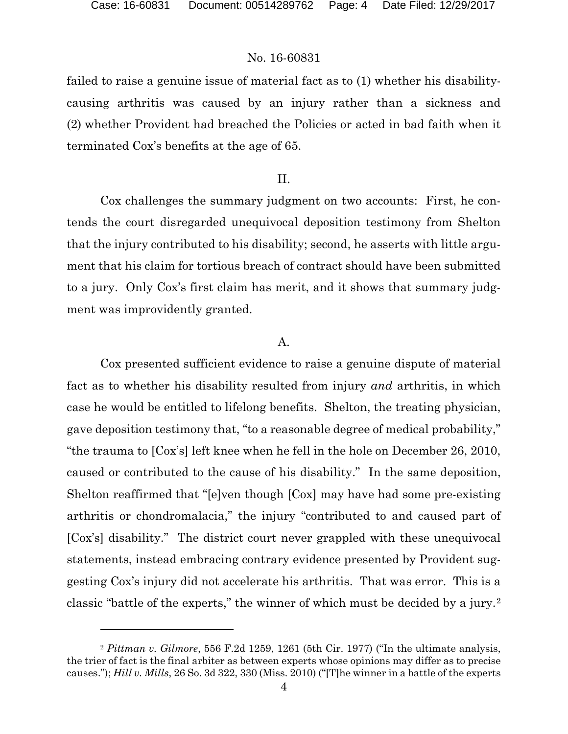$\overline{a}$ 

## No. 16-60831

failed to raise a genuine issue of material fact as to (1) whether his disabilitycausing arthritis was caused by an injury rather than a sickness and (2) whether Provident had breached the Policies or acted in bad faith when it terminated Cox's benefits at the age of 65.

#### II.

Cox challenges the summary judgment on two accounts: First, he contends the court disregarded unequivocal deposition testimony from Shelton that the injury contributed to his disability; second, he asserts with little argument that his claim for tortious breach of contract should have been submitted to a jury. Only Cox's first claim has merit, and it shows that summary judgment was improvidently granted.

#### A.

Cox presented sufficient evidence to raise a genuine dispute of material fact as to whether his disability resulted from injury *and* arthritis, in which case he would be entitled to lifelong benefits. Shelton, the treating physician, gave deposition testimony that, "to a reasonable degree of medical probability," "the trauma to [Cox's] left knee when he fell in the hole on December 26, 2010, caused or contributed to the cause of his disability." In the same deposition, Shelton reaffirmed that "[e]ven though [Cox] may have had some pre-existing arthritis or chondromalacia," the injury "contributed to and caused part of [Cox's] disability." The district court never grappled with these unequivocal statements, instead embracing contrary evidence presented by Provident suggesting Cox's injury did not accelerate his arthritis. That was error. This is a classic "battle of the experts," the winner of which must be decided by a jury.[2](#page-3-0)

<span id="page-3-0"></span><sup>2</sup> *Pittman v. Gilmore*, 556 F.2d 1259, 1261 (5th Cir. 1977) ("In the ultimate analysis, the trier of fact is the final arbiter as between experts whose opinions may differ as to precise causes."); *Hill v. Mills*, 26 So. 3d 322, 330 (Miss. 2010) ("[T]he winner in a battle of the experts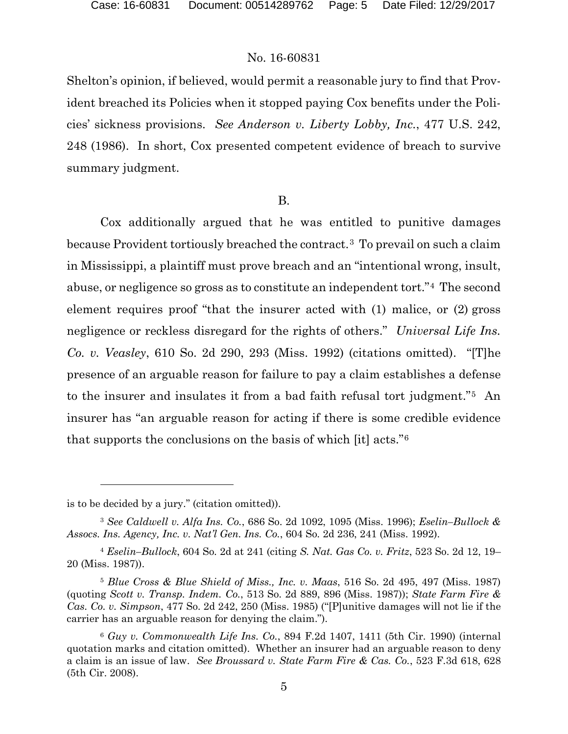## No. 16-60831

Shelton's opinion, if believed, would permit a reasonable jury to find that Provident breached its Policies when it stopped paying Cox benefits under the Policies' sickness provisions. *See Anderson v. Liberty Lobby, Inc.*, 477 U.S. 242, 248 (1986). In short, Cox presented competent evidence of breach to survive summary judgment.

#### B.

Cox additionally argued that he was entitled to punitive damages because Provident tortiously breached the contract.[3](#page-4-0) To prevail on such a claim in Mississippi, a plaintiff must prove breach and an "intentional wrong, insult, abuse, or negligence so gross as to constitute an independent tort."[4](#page-4-1) The second element requires proof "that the insurer acted with (1) malice, or (2) gross negligence or reckless disregard for the rights of others." *Universal Life Ins. Co. v. Veasley*, 610 So. 2d 290, 293 (Miss. 1992) (citations omitted). "[T]he presence of an arguable reason for failure to pay a claim establishes a defense to the insurer and insulates it from a bad faith refusal tort judgment."[5](#page-4-2) An insurer has "an arguable reason for acting if there is some credible evidence that supports the conclusions on the basis of which [it] acts."[6](#page-4-3)

 $\overline{a}$ 

is to be decided by a jury." (citation omitted)).

<span id="page-4-0"></span><sup>3</sup> *See Caldwell v. Alfa Ins. Co.*, 686 So. 2d 1092, 1095 (Miss. 1996); *Eselin–Bullock & Assocs. Ins. Agency, Inc. v. Nat'l Gen. Ins. Co.*, 604 So. 2d 236, 241 (Miss. 1992).

<span id="page-4-1"></span><sup>4</sup> *Eselin–Bullock*, 604 So. 2d at 241 (citing *S. Nat. Gas Co. v. Fritz*, 523 So. 2d 12, 19– 20 (Miss. 1987)).

<span id="page-4-2"></span><sup>5</sup> *Blue Cross & Blue Shield of Miss., Inc. v. Maas*, 516 So. 2d 495, 497 (Miss. 1987) (quoting *Scott v. Transp. Indem. Co.*, 513 So. 2d 889, 896 (Miss. 1987)); *State Farm Fire & Cas. Co. v. Simpson*, 477 So. 2d 242, 250 (Miss. 1985) ("[P]unitive damages will not lie if the carrier has an arguable reason for denying the claim.").

<span id="page-4-3"></span><sup>6</sup> *Guy v. Commonwealth Life Ins. Co.*, 894 F.2d 1407, 1411 (5th Cir. 1990) (internal quotation marks and citation omitted). Whether an insurer had an arguable reason to deny a claim is an issue of law. *See Broussard v. State Farm Fire & Cas. Co.*, 523 F.3d 618, 628 (5th Cir. 2008).